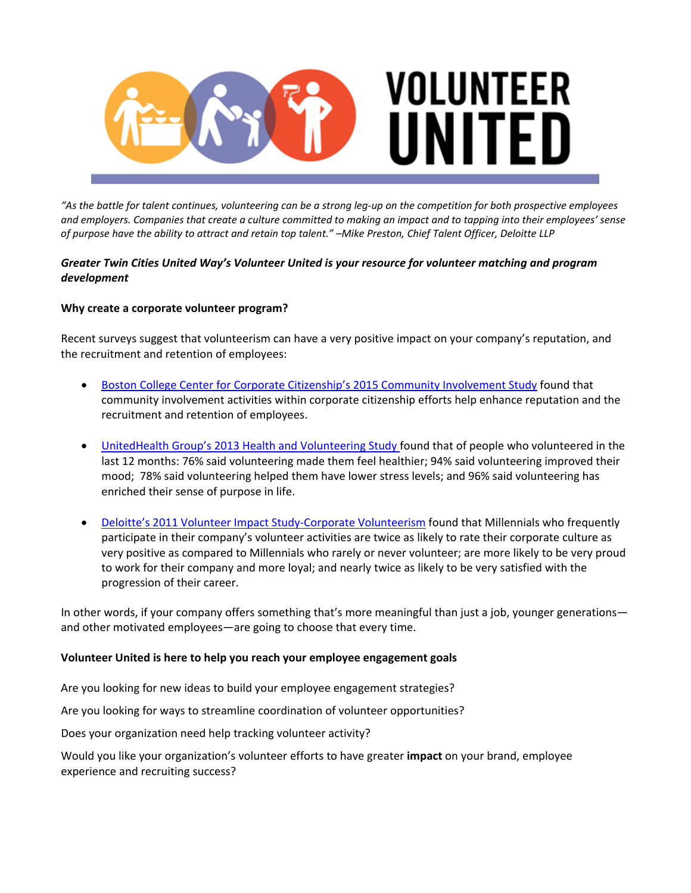

"As the battle for talent continues, volunteering can be a strong leg-up on the competition for both prospective employees and employers. Companies that create a culture committed to making an impact and to tapping into their employees' sense of purpose have the ability to attract and retain top talent." -Mike Preston, Chief Talent Officer, Deloitte LLP

# *Greater Twin Cities United Way's Volunteer United is your resource for volunteer matching and program development*

## **Why create a corporate volunteer program?**

Recent surveys suggest that volunteerism can have a very positive impact on your company's reputation, and the recruitment and retention of employees:

- Boston College Center for Corporate Citizenship's 2015 Community Involvement Study found that community involvement activities within corporate citizenship efforts help enhance reputation and the recruitment and retention of employees.
- UnitedHealth Group's 2013 Health and Volunteering Study found that of people who volunteered in the last 12 months: 76% said volunteering made them feel healthier; 94% said volunteering improved their mood; 78% said volunteering helped them have lower stress levels; and 96% said volunteering has enriched their sense of purpose in life.
- Deloitte's 2011 Volunteer Impact Study‐Corporate Volunteerism found that Millennials who frequently participate in their company's volunteer activities are twice as likely to rate their corporate culture as very positive as compared to Millennials who rarely or never volunteer; are more likely to be very proud to work for their company and more loyal; and nearly twice as likely to be very satisfied with the progression of their career.

In other words, if your company offers something that's more meaningful than just a job, younger generations and other motivated employees—are going to choose that every time.

## **Volunteer United is here to help you reach your employee engagement goals**

Are you looking for new ideas to build your employee engagement strategies?

Are you looking for ways to streamline coordination of volunteer opportunities?

Does your organization need help tracking volunteer activity?

Would you like your organization's volunteer efforts to have greater **impact** on your brand, employee experience and recruiting success?